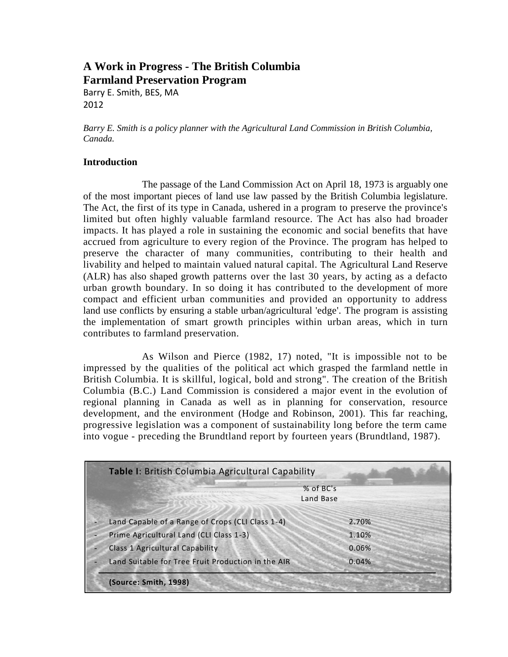# **A Work in Progress - The British Columbia Farmland Preservation Program**

Barry E. Smith, BES, MA 2012

*Barry E. Smith is a policy planner with the Agricultural Land Commission in British Columbia, Canada.*

#### **Introduction**

The passage of the Land Commission Act on April 18, 1973 is arguably one of the most important pieces of land use law passed by the British Columbia legislature. The Act, the first of its type in Canada, ushered in a program to preserve the province's limited but often highly valuable farmland resource. The Act has also had broader impacts. It has played a role in sustaining the economic and social benefits that have accrued from agriculture to every region of the Province. The program has helped to preserve the character of many communities, contributing to their health and livability and helped to maintain valued natural capital. The Agricultural Land Reserve (ALR) has also shaped growth patterns over the last 30 years, by acting as a defacto urban growth boundary. In so doing it has contributed to the development of more compact and efficient urban communities and provided an opportunity to address land use conflicts by ensuring a stable urban/agricultural 'edge'. The program is assisting the implementation of smart growth principles within urban areas, which in turn contributes to farmland preservation.

As Wilson and Pierce (1982, 17) noted, "It is impossible not to be impressed by the qualities of the political act which grasped the farmland nettle in British Columbia. It is skillful, logical, bold and strong". The creation of the British Columbia (B.C.) Land Commission is considered a major event in the evolution of regional planning in Canada as well as in planning for conservation, resource development, and the environment (Hodge and Robinson, 2001). This far reaching, progressive legislation was a component of sustainability long before the term came into vogue - preceding the Brundtland report by fourteen years (Brundtland, 1987).

| Table I: British Columbia Agricultural Capability  |                        |       |
|----------------------------------------------------|------------------------|-------|
|                                                    | % of BC's<br>Land Base |       |
| Land Capable of a Range of Crops (CLI Class 1-4)   |                        | 2.70% |
| Prime Agricultural Land (CLI Class 1-3)            |                        | 1.10% |
| <b>Class 1 Agricultural Capability</b>             |                        | 0.06% |
| Land Suitable for Tree Fruit Production in the AIR |                        | 0.04% |
| (Source: Smith, 1998)                              |                        |       |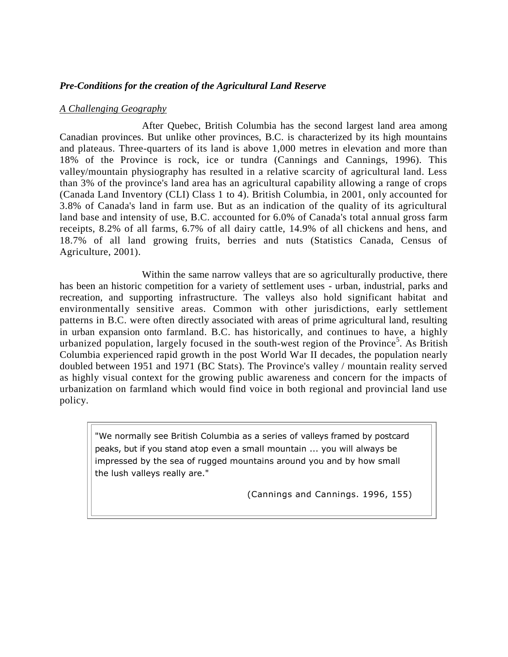## *Pre-Conditions for the creation of the Agricultural Land Reserve*

#### *A Challenging Geography*

After Quebec, British Columbia has the second largest land area among Canadian provinces. But unlike other provinces, B.C. is characterized by its high mountains and plateaus. Three-quarters of its land is above 1,000 metres in elevation and more than 18% of the Province is rock, ice or tundra (Cannings and Cannings, 1996). This valley/mountain physiography has resulted in a relative scarcity of agricultural land. Less than 3% of the province's land area has an agricultural capability allowing a range of crops (Canada Land Inventory (CLI) Class 1 to 4). British Columbia, in 2001, only accounted for 3.8% of Canada's land in farm use. But as an indication of the quality of its agricultural land base and intensity of use, B.C. accounted for 6.0% of Canada's total annual gross farm receipts, 8.2% of all farms, 6.7% of all dairy cattle, 14.9% of all chickens and hens, and 18.7% of all land growing fruits, berries and nuts (Statistics Canada, Census of Agriculture, 2001).

Within the same narrow valleys that are so agriculturally productive, there has been an historic competition for a variety of settlement uses - urban, industrial, parks and recreation, and supporting infrastructure. The valleys also hold significant habitat and environmentally sensitive areas. Common with other jurisdictions, early settlement patterns in B.C. were often directly associated with areas of prime agricultural land, resulting in urban expansion onto farmland. B.C. has historically, and continues to have, a highly urbanized population, largely focused in the south-west region of the Province<sup>5</sup>. As British Columbia experienced rapid growth in the post World War II decades, the population nearly doubled between 1951 and 1971 (BC Stats). The Province's valley / mountain reality served as highly visual context for the growing public awareness and concern for the impacts of urbanization on farmland which would find voice in both regional and provincial land use policy.

"We normally see British Columbia as a series of valleys framed by postcard peaks, but if you stand atop even a small mountain ... you will always be impressed by the sea of rugged mountains around you and by how small the lush valleys really are."

(Cannings and Cannings. 1996, 155)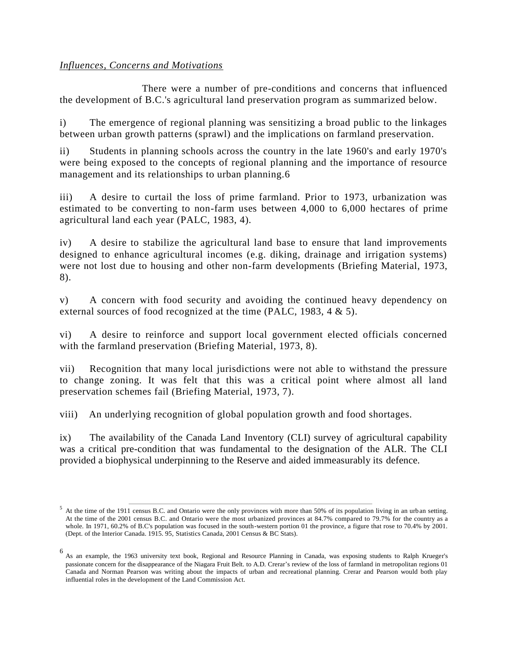## *Influences, Concerns and Motivations*

There were a number of pre-conditions and concerns that influenced the development of B.C.'s agricultural land preservation program as summarized below.

i) The emergence of regional planning was sensitizing a broad public to the linkages between urban growth patterns (sprawl) and the implications on farmland preservation.

ii) Students in planning schools across the country in the late 1960's and early 1970's were being exposed to the concepts of regional planning and the importance of resource management and its relationships to urban planning.6

iii) A desire to curtail the loss of prime farmland. Prior to 1973, urbanization was estimated to be converting to non-farm uses between 4,000 to 6,000 hectares of prime agricultural land each year (PALC, 1983, 4).

iv) A desire to stabilize the agricultural land base to ensure that land improvements designed to enhance agricultural incomes (e.g. diking, drainage and irrigation systems) were not lost due to housing and other non-farm developments (Briefing Material, 1973, 8).

v) A concern with food security and avoiding the continued heavy dependency on external sources of food recognized at the time (PALC, 1983, 4 & 5).

vi) A desire to reinforce and support local government elected officials concerned with the farmland preservation (Briefing Material, 1973, 8).

vii) Recognition that many local jurisdictions were not able to withstand the pressure to change zoning. It was felt that this was a critical point where almost all land preservation schemes fail (Briefing Material, 1973, 7).

viii) An underlying recognition of global population growth and food shortages.

ix) The availability of the Canada Land Inventory (CLI) survey of agricultural capability was a critical pre-condition that was fundamental to the designation of the ALR. The CLI provided a biophysical underpinning to the Reserve and aided immeasurably its defence.

<sup>&</sup>lt;sup>5</sup> At the time of the 1911 census B.C. and Ontario were the only provinces with more than 50% of its population living in an urban setting. At the time of the 2001 census B.C. and Ontario were the most urbanized provinces at 84.7% compared to 79.7% for the country as a whole. In 1971, 60.2% of B.C's population was focused in the south-western portion 01 the province, a figure that rose to 70.4% by 2001. (Dept. of the Interior Canada. 1915. 95, Statistics Canada, 2001 Census & BC Stats).

<sup>6</sup> As an example, the 1963 university text book, Regional and Resource Planning in Canada, was exposing students to Ralph Krueger's passionate concern for the disappearance of the Niagara Fruit Belt. to A.D. Crerar's review of the loss of farmland in metropolitan regions 01 Canada and Norman Pearson was writing about the impacts of urban and recreational planning. Crerar and Pearson would both play influential roles in the development of the Land Commission Act.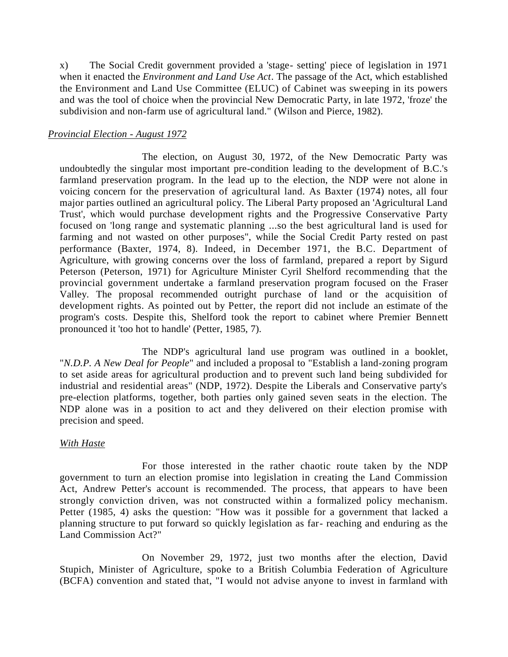x) The Social Credit government provided a 'stage- setting' piece of legislation in 1971 when it enacted the *Environment and Land Use Act*. The passage of the Act, which established the Environment and Land Use Committee (ELUC) of Cabinet was sweeping in its powers and was the tool of choice when the provincial New Democratic Party, in late 1972, 'froze' the subdivision and non-farm use of agricultural land." (Wilson and Pierce, 1982).

#### *Provincial Election - August 1972*

The election, on August 30, 1972, of the New Democratic Party was undoubtedly the singular most important pre-condition leading to the development of B.C.'s farmland preservation program. In the lead up to the election, the NDP were not alone in voicing concern for the preservation of agricultural land. As Baxter (1974) notes, all four major parties outlined an agricultural policy. The Liberal Party proposed an 'Agricultural Land Trust', which would purchase development rights and the Progressive Conservative Party focused on 'long range and systematic planning ...so the best agricultural land is used for farming and not wasted on other purposes", while the Social Credit Party rested on past performance (Baxter, 1974, 8). Indeed, in December 1971, the B.C. Department of Agriculture, with growing concerns over the loss of farmland, prepared a report by Sigurd Peterson (Peterson, 1971) for Agriculture Minister Cyril Shelford recommending that the provincial government undertake a farmland preservation program focused on the Fraser Valley. The proposal recommended outright purchase of land or the acquisition of development rights. As pointed out by Petter, the report did not include an estimate of the program's costs. Despite this, Shelford took the report to cabinet where Premier Bennett pronounced it 'too hot to handle' (Petter, 1985, 7).

The NDP's agricultural land use program was outlined in a booklet, "*N.D.P. A New Deal for People*" and included a proposal to "Establish a land-zoning program to set aside areas for agricultural production and to prevent such land being subdivided for industrial and residential areas" (NDP, 1972). Despite the Liberals and Conservative party's pre-election platforms, together, both parties only gained seven seats in the election. The NDP alone was in a position to act and they delivered on their election promise with precision and speed.

#### *With Haste*

For those interested in the rather chaotic route taken by the NDP government to turn an election promise into legislation in creating the Land Commission Act, Andrew Petter's account is recommended. The process, that appears to have been strongly conviction driven, was not constructed within a formalized policy mechanism. Petter (1985, 4) asks the question: "How was it possible for a government that lacked a planning structure to put forward so quickly legislation as far- reaching and enduring as the Land Commission Act?"

On November 29, 1972, just two months after the election, David Stupich, Minister of Agriculture, spoke to a British Columbia Federation of Agriculture (BCFA) convention and stated that, "I would not advise anyone to invest in farmland with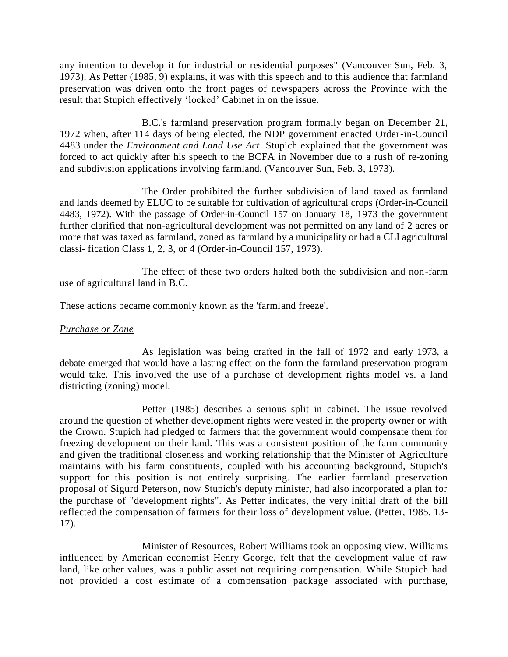any intention to develop it for industrial or residential purposes" (Vancouver Sun, Feb. 3, 1973). As Petter (1985, 9) explains, it was with this speech and to this audience that farmland preservation was driven onto the front pages of newspapers across the Province with the result that Stupich effectively 'locked' Cabinet in on the issue.

B.C.'s farmland preservation program formally began on December 21, 1972 when, after 114 days of being elected, the NDP government enacted Order-in-Council 4483 under the *Environment and Land Use Act*. Stupich explained that the government was forced to act quickly after his speech to the BCFA in November due to a rush of re-zoning and subdivision applications involving farmland. (Vancouver Sun, Feb. 3, 1973).

The Order prohibited the further subdivision of land taxed as farmland and lands deemed by ELUC to be suitable for cultivation of agricultural crops (Order-in-Council 4483, 1972). With the passage of Order-in-Council 157 on January 18, 1973 the government further clarified that non-agricultural development was not permitted on any land of 2 acres or more that was taxed as farmland, zoned as farmland by a municipality or had a CLI agricultural classi- fication Class 1, 2, 3, or 4 (Order-in-Council 157, 1973).

The effect of these two orders halted both the subdivision and non-farm use of agricultural land in B.C.

These actions became commonly known as the 'farmland freeze'.

### *Purchase or Zone*

As legislation was being crafted in the fall of 1972 and early 1973, a debate emerged that would have a lasting effect on the form the farmland preservation program would take. This involved the use of a purchase of development rights model vs. a land districting (zoning) model.

Petter (1985) describes a serious split in cabinet. The issue revolved around the question of whether development rights were vested in the property owner or with the Crown. Stupich had pledged to farmers that the government would compensate them for freezing development on their land. This was a consistent position of the farm community and given the traditional closeness and working relationship that the Minister of Agriculture maintains with his farm constituents, coupled with his accounting background, Stupich's support for this position is not entirely surprising. The earlier farmland preservation proposal of Sigurd Peterson, now Stupich's deputy minister, had also incorporated a plan for the purchase of "development rights". As Petter indicates, the very initial draft of the bill reflected the compensation of farmers for their loss of development value. (Petter, 1985, 13- 17).

Minister of Resources, Robert Williams took an opposing view. Williams influenced by American economist Henry George, felt that the development value of raw land, like other values, was a public asset not requiring compensation. While Stupich had not provided a cost estimate of a compensation package associated with purchase,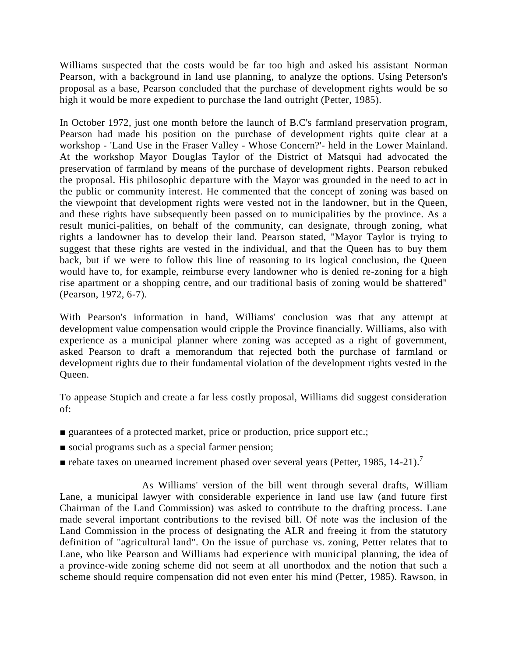Williams suspected that the costs would be far too high and asked his assistant Norman Pearson, with a background in land use planning, to analyze the options. Using Peterson's proposal as a base, Pearson concluded that the purchase of development rights would be so high it would be more expedient to purchase the land outright (Petter, 1985).

In October 1972, just one month before the launch of B.C's farmland preservation program, Pearson had made his position on the purchase of development rights quite clear at a workshop - 'Land Use in the Fraser Valley - Whose Concern?'- held in the Lower Mainland. At the workshop Mayor Douglas Taylor of the District of Matsqui had advocated the preservation of farmland by means of the purchase of development rights. Pearson rebuked the proposal. His philosophic departure with the Mayor was grounded in the need to act in the public or community interest. He commented that the concept of zoning was based on the viewpoint that development rights were vested not in the landowner, but in the Queen, and these rights have subsequently been passed on to municipalities by the province. As a result munici-palities, on behalf of the community, can designate, through zoning, what rights a landowner has to develop their land. Pearson stated, "Mayor Taylor is trying to suggest that these rights are vested in the individual, and that the Queen has to buy them back, but if we were to follow this line of reasoning to its logical conclusion, the Queen would have to, for example, reimburse every landowner who is denied re-zoning for a high rise apartment or a shopping centre, and our traditional basis of zoning would be shattered" (Pearson, 1972, 6-7).

With Pearson's information in hand, Williams' conclusion was that any attempt at development value compensation would cripple the Province financially. Williams, also with experience as a municipal planner where zoning was accepted as a right of government, asked Pearson to draft a memorandum that rejected both the purchase of farmland or development rights due to their fundamental violation of the development rights vested in the Queen.

To appease Stupich and create a far less costly proposal, Williams did suggest consideration of:

- guarantees of a protected market, price or production, price support etc.;
- social programs such as a special farmer pension;
- $\blacksquare$  rebate taxes on unearned increment phased over several years (Petter, 1985, 14-21).<sup>7</sup>

As Williams' version of the bill went through several drafts, William Lane, a municipal lawyer with considerable experience in land use law (and future first Chairman of the Land Commission) was asked to contribute to the drafting process. Lane made several important contributions to the revised bill. Of note was the inclusion of the Land Commission in the process of designating the ALR and freeing it from the statutory definition of "agricultural land". On the issue of purchase vs. zoning, Petter relates that to Lane, who like Pearson and Williams had experience with municipal planning, the idea of a province-wide zoning scheme did not seem at all unorthodox and the notion that such a scheme should require compensation did not even enter his mind (Petter, 1985). Rawson, in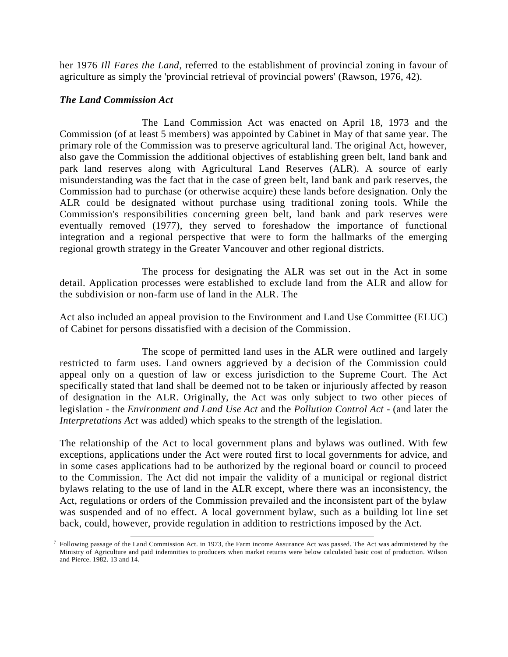her 1976 *Ill Fares the Land*, referred to the establishment of provincial zoning in favour of agriculture as simply the 'provincial retrieval of provincial powers' (Rawson, 1976, 42).

### *The Land Commission Act*

7

The Land Commission Act was enacted on April 18, 1973 and the Commission (of at least 5 members) was appointed by Cabinet in May of that same year. The primary role of the Commission was to preserve agricultural land. The original Act, however, also gave the Commission the additional objectives of establishing green belt, land bank and park land reserves along with Agricultural Land Reserves (ALR). A source of early misunderstanding was the fact that in the case of green belt, land bank and park reserves, the Commission had to purchase (or otherwise acquire) these lands before designation. Only the ALR could be designated without purchase using traditional zoning tools. While the Commission's responsibilities concerning green belt, land bank and park reserves were eventually removed (1977), they served to foreshadow the importance of functional integration and a regional perspective that were to form the hallmarks of the emerging regional growth strategy in the Greater Vancouver and other regional districts.

The process for designating the ALR was set out in the Act in some detail. Application processes were established to exclude land from the ALR and allow for the subdivision or non-farm use of land in the ALR. The

Act also included an appeal provision to the Environment and Land Use Committee (ELUC) of Cabinet for persons dissatisfied with a decision of the Commission.

The scope of permitted land uses in the ALR were outlined and largely restricted to farm uses. Land owners aggrieved by a decision of the Commission could appeal only on a question of law or excess jurisdiction to the Supreme Court. The Act specifically stated that land shall be deemed not to be taken or injuriously affected by reason of designation in the ALR. Originally, the Act was only subject to two other pieces of legislation - the *Environment and Land Use Act* and the *Pollution Control Act* - (and later the *Interpretations Act* was added) which speaks to the strength of the legislation.

The relationship of the Act to local government plans and bylaws was outlined. With few exceptions, applications under the Act were routed first to local governments for advice, and in some cases applications had to be authorized by the regional board or council to proceed to the Commission. The Act did not impair the validity of a municipal or regional district bylaws relating to the use of land in the ALR except, where there was an inconsistency, the Act, regulations or orders of the Commission prevailed and the inconsistent part of the bylaw was suspended and of no effect. A local government bylaw, such as a building lot line set back, could, however, provide regulation in addition to restrictions imposed by the Act.

Following passage of the Land Commission Act. in 1973, the Farm income Assurance Act was passed. The Act was administered by the Ministry of Agriculture and paid indemnities to producers when market returns were below calculated basic cost of production. Wilson and Pierce. 1982. 13 and 14.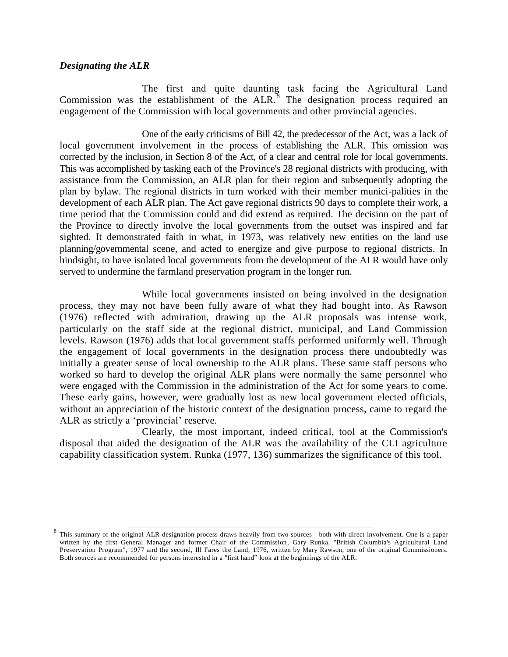#### *Designating the ALR*

The first and quite daunting task facing the Agricultural Land Commission was the establishment of the  $ALR$ .<sup>8</sup> The designation process required an engagement of the Commission with local governments and other provincial agencies.

One of the early criticisms of Bill 42, the predecessor of the Act, was a lack of local government involvement in the process of establishing the ALR. This omission was corrected by the inclusion, in Section 8 of the Act, of a clear and central role for local governments. This was accomplished by tasking each of the Province's 28 regional districts with producing, with assistance from the Commission, an ALR plan for their region and subsequently adopting the plan by bylaw. The regional districts in turn worked with their member munici-palities in the development of each ALR plan. The Act gave regional districts 90 days to complete their work, a time period that the Commission could and did extend as required. The decision on the part of the Province to directly involve the local governments from the outset was inspired and far sighted. It demonstrated faith in what, in 1973, was relatively new entities on the land use planning/governmental scene, and acted to energize and give purpose to regional districts. In hindsight, to have isolated local governments from the development of the ALR would have only served to undermine the farmland preservation program in the longer run.

While local governments insisted on being involved in the designation process, they may not have been fully aware of what they had bought into. As Rawson (1976) reflected with admiration, drawing up the ALR proposals was intense work, particularly on the staff side at the regional district, municipal, and Land Commission levels. Rawson (1976) adds that local government staffs performed uniformly well. Through the engagement of local governments in the designation process there undoubtedly was initially a greater sense of local ownership to the ALR plans. These same staff persons who worked so hard to develop the original ALR plans were normally the same personnel who were engaged with the Commission in the administration of the Act for some years to come. These early gains, however, were gradually lost as new local government elected officials, without an appreciation of the historic context of the designation process, came to regard the ALR as strictly a 'provincial' reserve.

Clearly, the most important, indeed critical, tool at the Commission's disposal that aided the designation of the ALR was the availability of the CLI agriculture capability classification system. Runka (1977, 136) summarizes the significance of this tool.

<sup>8</sup> This summary of the original ALR designation process draws heavily from two sources - both with direct involvement. One is a paper written by the first General Manager and former Chair of the Commission, Gary Runka, "British Columbia's Agricultural Land Preservation Program", 1977 and the second, Ill Fares the Land, 1976, written by Mary Rawson, one of the original Commissioners. Both sources are recommended for persons interested in a "first hand" look at the beginnings of the ALR.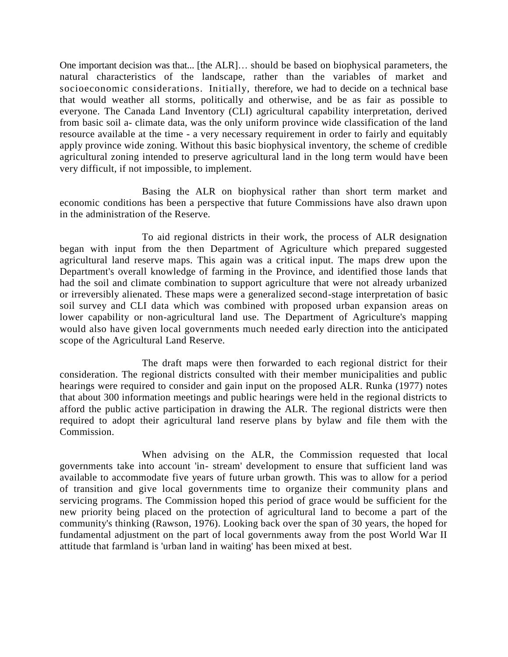One important decision was that... [the ALR]… should be based on biophysical parameters, the natural characteristics of the landscape, rather than the variables of market and socioeconomic considerations. Initially, therefore, we had to decide on a technical base that would weather all storms, politically and otherwise, and be as fair as possible to everyone. The Canada Land Inventory (CLI) agricultural capability interpretation, derived from basic soil a- climate data, was the only uniform province wide classification of the land resource available at the time - a very necessary requirement in order to fairly and equitably apply province wide zoning. Without this basic biophysical inventory, the scheme of credible agricultural zoning intended to preserve agricultural land in the long term would have been very difficult, if not impossible, to implement.

Basing the ALR on biophysical rather than short term market and economic conditions has been a perspective that future Commissions have also drawn upon in the administration of the Reserve.

To aid regional districts in their work, the process of ALR designation began with input from the then Department of Agriculture which prepared suggested agricultural land reserve maps. This again was a critical input. The maps drew upon the Department's overall knowledge of farming in the Province, and identified those lands that had the soil and climate combination to support agriculture that were not already urbanized or irreversibly alienated. These maps were a generalized second-stage interpretation of basic soil survey and CLI data which was combined with proposed urban expansion areas on lower capability or non-agricultural land use. The Department of Agriculture's mapping would also have given local governments much needed early direction into the anticipated scope of the Agricultural Land Reserve.

The draft maps were then forwarded to each regional district for their consideration. The regional districts consulted with their member municipalities and public hearings were required to consider and gain input on the proposed ALR. Runka (1977) notes that about 300 information meetings and public hearings were held in the regional districts to afford the public active participation in drawing the ALR. The regional districts were then required to adopt their agricultural land reserve plans by bylaw and file them with the Commission.

When advising on the ALR, the Commission requested that local governments take into account 'in- stream' development to ensure that sufficient land was available to accommodate five years of future urban growth. This was to allow for a period of transition and give local governments time to organize their community plans and servicing programs. The Commission hoped this period of grace would be sufficient for the new priority being placed on the protection of agricultural land to become a part of the community's thinking (Rawson, 1976). Looking back over the span of 30 years, the hoped for fundamental adjustment on the part of local governments away from the post World War II attitude that farmland is 'urban land in waiting' has been mixed at best.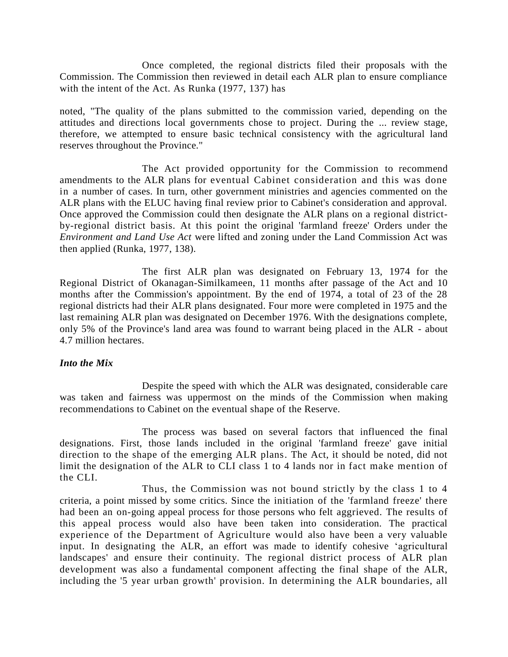Once completed, the regional districts filed their proposals with the Commission. The Commission then reviewed in detail each ALR plan to ensure compliance with the intent of the Act. As Runka (1977, 137) has

noted, "The quality of the plans submitted to the commission varied, depending on the attitudes and directions local governments chose to project. During the ... review stage, therefore, we attempted to ensure basic technical consistency with the agricultural land reserves throughout the Province."

The Act provided opportunity for the Commission to recommend amendments to the ALR plans for eventual Cabinet consideration and this was done in a number of cases. In turn, other government ministries and agencies commented on the ALR plans with the ELUC having final review prior to Cabinet's consideration and approval. Once approved the Commission could then designate the ALR plans on a regional districtby-regional district basis. At this point the original 'farmland freeze' Orders under the *Environment and Land Use Act* were lifted and zoning under the Land Commission Act was then applied (Runka, 1977, 138).

The first ALR plan was designated on February 13, 1974 for the Regional District of Okanagan-Similkameen, 11 months after passage of the Act and 10 months after the Commission's appointment. By the end of 1974, a total of 23 of the 28 regional districts had their ALR plans designated. Four more were completed in 1975 and the last remaining ALR plan was designated on December 1976. With the designations complete, only 5% of the Province's land area was found to warrant being placed in the ALR - about 4.7 million hectares.

### *Into the Mix*

Despite the speed with which the ALR was designated, considerable care was taken and fairness was uppermost on the minds of the Commission when making recommendations to Cabinet on the eventual shape of the Reserve.

The process was based on several factors that influenced the final designations. First, those lands included in the original 'farmland freeze' gave initial direction to the shape of the emerging ALR plans. The Act, it should be noted, did not limit the designation of the ALR to CLI class 1 to 4 lands nor in fact make mention of the CLI.

Thus, the Commission was not bound strictly by the class 1 to 4 criteria, a point missed by some critics. Since the initiation of the 'farmland freeze' there had been an on-going appeal process for those persons who felt aggrieved. The results of this appeal process would also have been taken into consideration. The practical experience of the Department of Agriculture would also have been a very valuable input. In designating the ALR, an effort was made to identify cohesive 'agricultural landscapes' and ensure their continuity. The regional district process of ALR plan development was also a fundamental component affecting the final shape of the ALR, including the '5 year urban growth' provision. In determining the ALR boundaries, all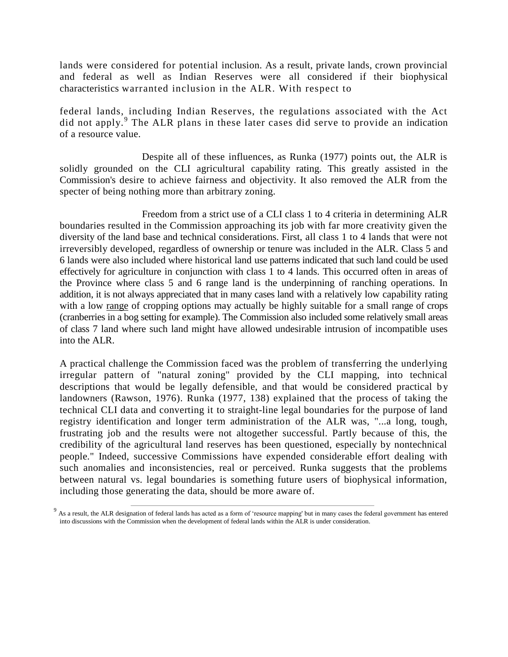lands were considered for potential inclusion. As a result, private lands, crown provincial and federal as well as Indian Reserves were all considered if their biophysical characteristics warranted inclusion in the ALR. With respect to

federal lands, including Indian Reserves, the regulations associated with the Act did not apply.<sup>9</sup> The ALR plans in these later cases did serve to provide an indication of a resource value.

Despite all of these influences, as Runka (1977) points out, the ALR is solidly grounded on the CLI agricultural capability rating. This greatly assisted in the Commission's desire to achieve fairness and objectivity. It also removed the ALR from the specter of being nothing more than arbitrary zoning.

Freedom from a strict use of a CLI class 1 to 4 criteria in determining ALR boundaries resulted in the Commission approaching its job with far more creativity given the diversity of the land base and technical considerations. First, all class 1 to 4 lands that were not irreversibly developed, regardless of ownership or tenure was included in the ALR. Class 5 and 6 lands were also included where historical land use patterns indicated that such land could be used effectively for agriculture in conjunction with class 1 to 4 lands. This occurred often in areas of the Province where class 5 and 6 range land is the underpinning of ranching operations. In addition, it is not always appreciated that in many cases land with a relatively low capability rating with a low range of cropping options may actually be highly suitable for a small range of crops (cranberries in a bog setting for example). The Commission also included some relatively small areas of class 7 land where such land might have allowed undesirable intrusion of incompatible uses into the ALR.

A practical challenge the Commission faced was the problem of transferring the underlying irregular pattern of "natural zoning" provided by the CLI mapping, into technical descriptions that would be legally defensible, and that would be considered practical by landowners (Rawson, 1976). Runka (1977, 138) explained that the process of taking the technical CLI data and converting it to straight-line legal boundaries for the purpose of land registry identification and longer term administration of the ALR was, "...a long, tough, frustrating job and the results were not altogether successful. Partly because of this, the credibility of the agricultural land reserves has been questioned, especially by nontechnical people." Indeed, successive Commissions have expended considerable effort dealing with such anomalies and inconsistencies, real or perceived. Runka suggests that the problems between natural vs. legal boundaries is something future users of biophysical information, including those generating the data, should be more aware of.

 $9$  As a result, the ALR designation of federal lands has acted as a form of 'resource mapping' but in many cases the federal government has entered into discussions with the Commission when the development of federal lands within the ALR is under consideration.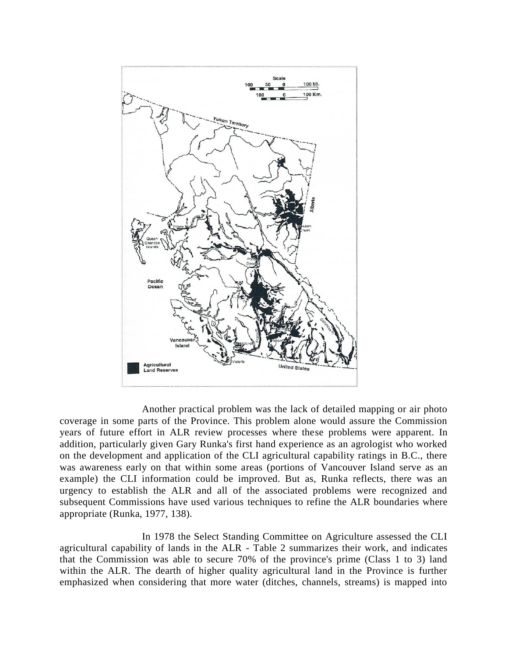

Another practical problem was the lack of detailed mapping or air photo coverage in some parts of the Province. This problem alone would assure the Commission years of future effort in ALR review processes where these problems were apparent. In addition, particularly given Gary Runka's first hand experience as an agrologist who worked on the development and application of the CLI agricultural capability ratings in B.C., there was awareness early on that within some areas (portions of Vancouver Island serve as an example) the CLI information could be improved. But as, Runka reflects, there was an urgency to establish the ALR and all of the associated problems were recognized and subsequent Commissions have used various techniques to refine the ALR boundaries where appropriate (Runka, 1977, 138).

In 1978 the Select Standing Committee on Agriculture assessed the CLI agricultural capability of lands in the ALR - Table 2 summarizes their work, and indicates that the Commission was able to secure 70% of the province's prime (Class 1 to 3) land within the ALR. The dearth of higher quality agricultural land in the Province is further emphasized when considering that more water (ditches, channels, streams) is mapped into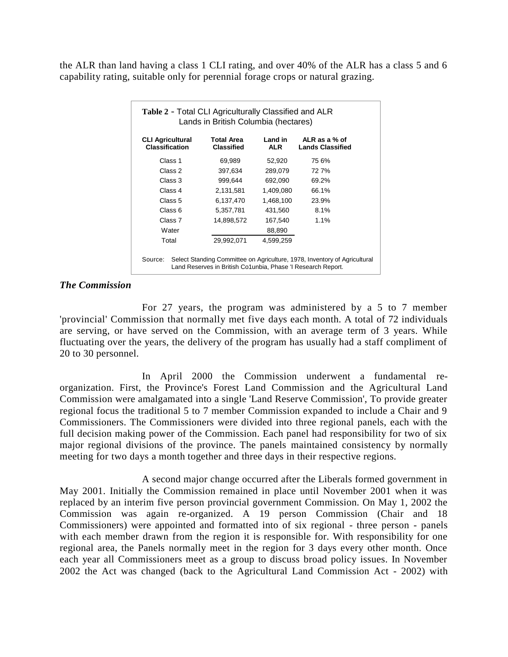the ALR than land having a class 1 CLI rating, and over 40% of the ALR has a class 5 and 6 capability rating, suitable only for perennial forage crops or natural grazing.

| <b>CLI Agricultural</b><br><b>Classification</b> | Total Area<br><b>Classified</b> | Land in<br><b>ALR</b> | ALR as a $%$ of<br><b>Lands Classified</b> |
|--------------------------------------------------|---------------------------------|-----------------------|--------------------------------------------|
| Class 1                                          | 69,989                          | 52,920                | 75 6%                                      |
| Class 2                                          | 397,634                         | 289,079               | 727%                                       |
| Class 3                                          | 999,644                         | 692,090               | 69.2%                                      |
| Class 4                                          | 2,131,581                       | 1,409,080             | 66.1%                                      |
| Class 5                                          | 6,137,470                       | 1,468,100             | 23.9%                                      |
| Class 6                                          | 5,357,781                       | 431,560               | 8.1%                                       |
| Class 7                                          | 14,898,572                      | 167,540               | 1.1%                                       |
| Water                                            |                                 | 88,890                |                                            |
| Total                                            | 29,992,071                      | 4,599,259             |                                            |

#### *The Commission*

For 27 years, the program was administered by a 5 to 7 member 'provincial' Commission that normally met five days each month. A total of 72 individuals are serving, or have served on the Commission, with an average term of 3 years. While fluctuating over the years, the delivery of the program has usually had a staff compliment of 20 to 30 personnel.

In April 2000 the Commission underwent a fundamental reorganization. First, the Province's Forest Land Commission and the Agricultural Land Commission were amalgamated into a single 'Land Reserve Commission', To provide greater regional focus the traditional 5 to 7 member Commission expanded to include a Chair and 9 Commissioners. The Commissioners were divided into three regional panels, each with the full decision making power of the Commission. Each panel had responsibility for two of six major regional divisions of the province. The panels maintained consistency by normally meeting for two days a month together and three days in their respective regions.

A second major change occurred after the Liberals formed government in May 2001. Initially the Commission remained in place until November 2001 when it was replaced by an interim five person provincial government Commission. On May 1, 2002 the Commission was again re-organized. A 19 person Commission (Chair and 18 Commissioners) were appointed and formatted into of six regional - three person - panels with each member drawn from the region it is responsible for. With responsibility for one regional area, the Panels normally meet in the region for 3 days every other month. Once each year all Commissioners meet as a group to discuss broad policy issues. In November 2002 the Act was changed (back to the Agricultural Land Commission Act - 2002) with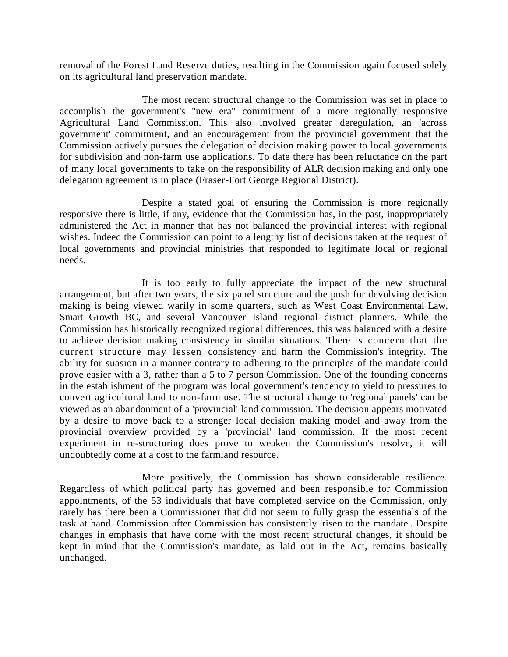removal of the Forest Land Reserve duties, resulting in the Commission again focused solely on its agricultural land preservation mandate.

The most recent structural change to the Commission was set in place to accomplish the government's "new era" commitment of a more regionally responsive Agricultural Land Commission. This also involved greater deregulation, an 'across government' commitment, and an encouragement from the provincial government that the Commission actively pursues the delegation of decision making power to local governments for subdivision and non-farm use applications. To date there has been reluctance on the part of many local governments to take on the responsibility of ALR decision making and only one delegation agreement is in place (Fraser-Fort George Regional District).

Despite a stated goal of ensuring the Commission is more regionally responsive there is little, if any, evidence that the Commission has, in the past, inappropriately administered the Act in manner that has not balanced the provincial interest with regional wishes. Indeed the Commission can point to a lengthy list of decisions taken at the request of local governments and provincial ministries that responded to legitimate local or regional needs.

It is too early to fully appreciate the impact of the new structural arrangement, but after two years, the six panel structure and the push for devolving decision making is being viewed warily in some quarters, such as West Coast Environmental Law, Smart Growth BC, and several Vancouver Island regional district planners. While the Commission has historically recognized regional differences, this was balanced with a desire to achieve decision making consistency in similar situations. There is concern that the current structure may lessen consistency and harm the Commission's integrity. The ability for suasion in a manner contrary to adhering to the principles of the mandate could prove easier with a 3, rather than a 5 to 7 person Commission. One of the founding concerns in the establishment of the program was local government's tendency to yield to pressures to convert agricultural land to non-farm use. The structural change to 'regional panels' can be viewed as an abandonment of a 'provincial' land commission. The decision appears motivated by a desire to move back to a stronger local decision making model and away from the provincial overview provided by a 'provincial' land commission. If the most recent experiment in re-structuring does prove to weaken the Commission's resolve, it will undoubtedly come at a cost to the farmland resource.

More positively, the Commission has shown considerable resilience. Regardless of which political party has governed and been responsible for Commission appointments, of the 53 individuals that have completed service on the Commission, only rarely has there been a Commissioner that did not seem to fully grasp the essentials of the task at hand. Commission after Commission has consistently 'risen to the mandate'. Despite changes in emphasis that have come with the most recent structural changes, it should be kept in mind that the Commission's mandate, as laid out in the Act, remains basically unchanged.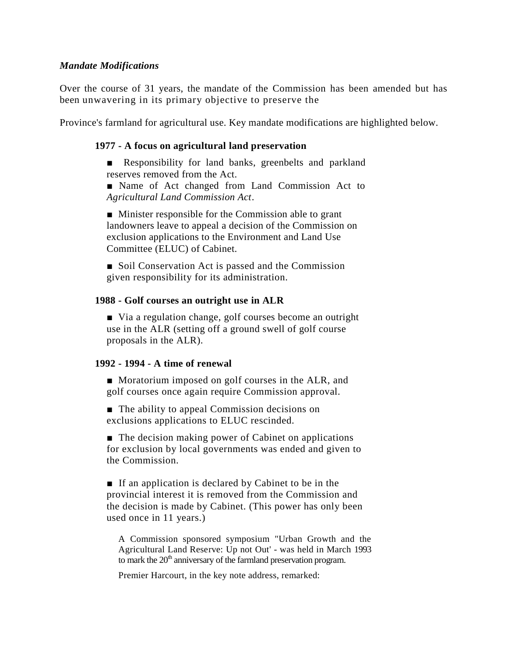#### *Mandate Modifications*

Over the course of 31 years, the mandate of the Commission has been amended but has been unwavering in its primary objective to preserve the

Province's farmland for agricultural use. Key mandate modifications are highlighted below.

#### **1977 - A focus on agricultural land preservation**

■ Responsibility for land banks, greenbelts and parkland reserves removed from the Act.

■ Name of Act changed from Land Commission Act to *Agricultural Land Commission Act*.

■ Minister responsible for the Commission able to grant landowners leave to appeal a decision of the Commission on exclusion applications to the Environment and Land Use Committee (ELUC) of Cabinet.

■ Soil Conservation Act is passed and the Commission given responsibility for its administration.

#### **1988 - Golf courses an outright use in ALR**

■ Via a regulation change, golf courses become an outright use in the ALR (setting off a ground swell of golf course proposals in the ALR).

#### **1992 - 1994 - A time of renewal**

■ Moratorium imposed on golf courses in the ALR, and golf courses once again require Commission approval.

■ The ability to appeal Commission decisions on exclusions applications to ELUC rescinded.

■ The decision making power of Cabinet on applications for exclusion by local governments was ended and given to the Commission.

■ If an application is declared by Cabinet to be in the provincial interest it is removed from the Commission and the decision is made by Cabinet. (This power has only been used once in 11 years.)

A Commission sponsored symposium "Urban Growth and the Agricultural Land Reserve: Up not Out' - was held in March 1993 to mark the  $20<sup>th</sup>$  anniversary of the farmland preservation program.

Premier Harcourt, in the key note address, remarked: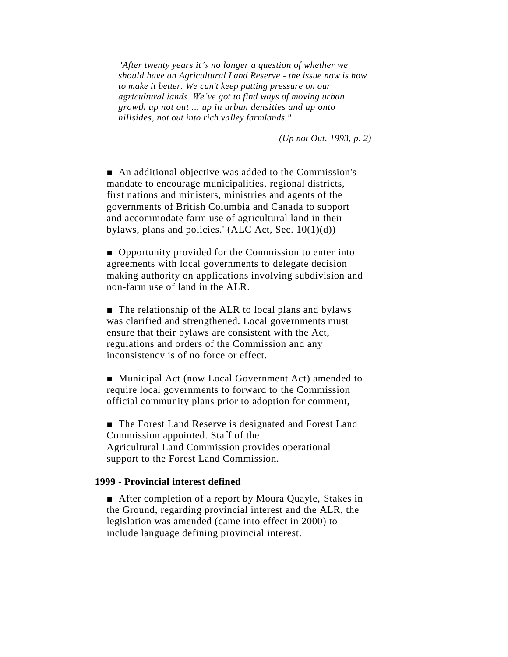*"After twenty years it's no longer a question of whether we should have an Agricultural Land Reserve - the issue now is how to make it better. We can't keep putting pressure on our agricultural lands. We've got to find ways of moving urban growth up not out ... up in urban densities and up onto hillsides, not out into rich valley farmlands."*

*(Up not Out. 1993, p. 2)*

■ An additional objective was added to the Commission's mandate to encourage municipalities, regional districts, first nations and ministers, ministries and agents of the governments of British Columbia and Canada to support and accommodate farm use of agricultural land in their bylaws, plans and policies.'  $(ALC Act, Sec. 10(1)(d))$ 

■ Opportunity provided for the Commission to enter into agreements with local governments to delegate decision making authority on applications involving subdivision and non-farm use of land in the ALR.

■ The relationship of the ALR to local plans and bylaws was clarified and strengthened. Local governments must ensure that their bylaws are consistent with the Act, regulations and orders of the Commission and any inconsistency is of no force or effect.

■ Municipal Act (now Local Government Act) amended to require local governments to forward to the Commission official community plans prior to adoption for comment,

■ The Forest Land Reserve is designated and Forest Land Commission appointed. Staff of the Agricultural Land Commission provides operational support to the Forest Land Commission.

#### **1999 - Provincial interest defined**

■ After completion of a report by Moura Quayle, Stakes in the Ground, regarding provincial interest and the ALR, the legislation was amended (came into effect in 2000) to include language defining provincial interest.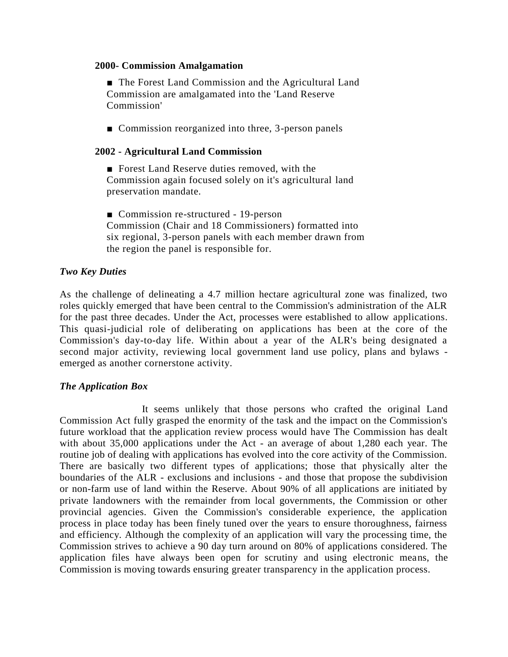#### **2000- Commission Amalgamation**

■ The Forest Land Commission and the Agricultural Land Commission are amalgamated into the 'Land Reserve Commission'

■ Commission reorganized into three, 3-person panels

## **2002 - Agricultural Land Commission**

■ Forest Land Reserve duties removed, with the Commission again focused solely on it's agricultural land preservation mandate.

■ Commission re-structured - 19-person Commission (Chair and 18 Commissioners) formatted into six regional, 3-person panels with each member drawn from the region the panel is responsible for.

## *Two Key Duties*

As the challenge of delineating a 4.7 million hectare agricultural zone was finalized, two roles quickly emerged that have been central to the Commission's administration of the ALR for the past three decades. Under the Act, processes were established to allow applications. This quasi-judicial role of deliberating on applications has been at the core of the Commission's day-to-day life. Within about a year of the ALR's being designated a second major activity, reviewing local government land use policy, plans and bylaws emerged as another cornerstone activity.

### *The Application Box*

It seems unlikely that those persons who crafted the original Land Commission Act fully grasped the enormity of the task and the impact on the Commission's future workload that the application review process would have The Commission has dealt with about 35,000 applications under the Act - an average of about 1,280 each year. The routine job of dealing with applications has evolved into the core activity of the Commission. There are basically two different types of applications; those that physically alter the boundaries of the ALR - exclusions and inclusions - and those that propose the subdivision or non-farm use of land within the Reserve. About 90% of all applications are initiated by private landowners with the remainder from local governments, the Commission or other provincial agencies. Given the Commission's considerable experience, the application process in place today has been finely tuned over the years to ensure thoroughness, fairness and efficiency. Although the complexity of an application will vary the processing time, the Commission strives to achieve a 90 day turn around on 80% of applications considered. The application files have always been open for scrutiny and using electronic means, the Commission is moving towards ensuring greater transparency in the application process.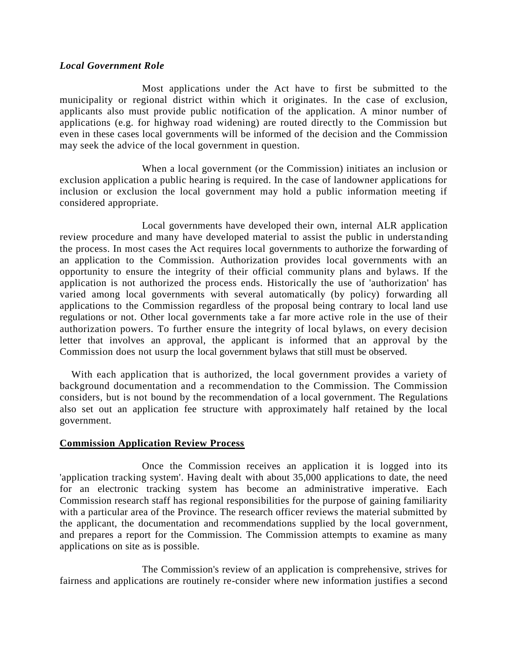#### *Local Government Role*

Most applications under the Act have to first be submitted to the municipality or regional district within which it originates. In the case of exclusion, applicants also must provide public notification of the application. A minor number of applications (e.g. for highway road widening) are routed directly to the Commission but even in these cases local governments will be informed of the decision and the Commission may seek the advice of the local government in question.

When a local government (or the Commission) initiates an inclusion or exclusion application a public hearing is required. In the case of landowner applications for inclusion or exclusion the local government may hold a public information meeting if considered appropriate.

Local governments have developed their own, internal ALR application review procedure and many have developed material to assist the public in understanding the process. In most cases the Act requires local governments to authorize the forwarding of an application to the Commission. Authorization provides local governments with an opportunity to ensure the integrity of their official community plans and bylaws. If the application is not authorized the process ends. Historically the use of 'authorization' has varied among local governments with several automatically (by policy) forwarding all applications to the Commission regardless of the proposal being contrary to local land use regulations or not. Other local governments take a far more active role in the use of their authorization powers. To further ensure the integrity of local bylaws, on every decision letter that involves an approval, the applicant is informed that an approval by the Commission does not usurp the local government bylaws that still must be observed.

With each application that is authorized, the local government provides a variety of background documentation and a recommendation to the Commission. The Commission considers, but is not bound by the recommendation of a local government. The Regulations also set out an application fee structure with approximately half retained by the local government.

### **Commission Application Review Process**

Once the Commission receives an application it is logged into its 'application tracking system'. Having dealt with about 35,000 applications to date, the need for an electronic tracking system has become an administrative imperative. Each Commission research staff has regional responsibilities for the purpose of gaining familiarity with a particular area of the Province. The research officer reviews the material submitted by the applicant, the documentation and recommendations supplied by the local government, and prepares a report for the Commission. The Commission attempts to examine as many applications on site as is possible.

The Commission's review of an application is comprehensive, strives for fairness and applications are routinely re-consider where new information justifies a second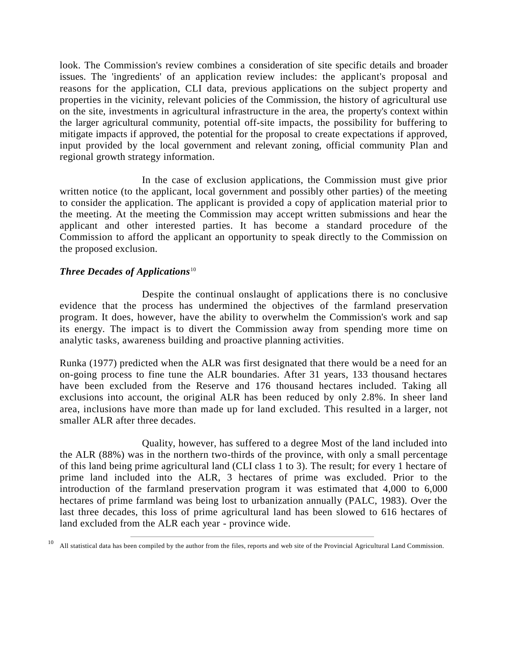look. The Commission's review combines a consideration of site specific details and broader issues. The 'ingredients' of an application review includes: the applicant's proposal and reasons for the application, CLI data, previous applications on the subject property and properties in the vicinity, relevant policies of the Commission, the history of agricultural use on the site, investments in agricultural infrastructure in the area, the property's context within the larger agricultural community, potential off-site impacts, the possibility for buffering to mitigate impacts if approved, the potential for the proposal to create expectations if approved, input provided by the local government and relevant zoning, official community Plan and regional growth strategy information.

In the case of exclusion applications, the Commission must give prior written notice (to the applicant, local government and possibly other parties) of the meeting to consider the application. The applicant is provided a copy of application material prior to the meeting. At the meeting the Commission may accept written submissions and hear the applicant and other interested parties. It has become a standard procedure of the Commission to afford the applicant an opportunity to speak directly to the Commission on the proposed exclusion.

## *Three Decades of Applications*<sup>10</sup>

Despite the continual onslaught of applications there is no conclusive evidence that the process has undermined the objectives of the farmland preservation program. It does, however, have the ability to overwhelm the Commission's work and sap its energy. The impact is to divert the Commission away from spending more time on analytic tasks, awareness building and proactive planning activities.

Runka (1977) predicted when the ALR was first designated that there would be a need for an on-going process to fine tune the ALR boundaries. After 31 years, 133 thousand hectares have been excluded from the Reserve and 176 thousand hectares included. Taking all exclusions into account, the original ALR has been reduced by only 2.8%. In sheer land area, inclusions have more than made up for land excluded. This resulted in a larger, not smaller ALR after three decades.

Quality, however, has suffered to a degree Most of the land included into the ALR (88%) was in the northern two-thirds of the province, with only a small percentage of this land being prime agricultural land (CLI class 1 to 3). The result; for every 1 hectare of prime land included into the ALR, 3 hectares of prime was excluded. Prior to the introduction of the farmland preservation program it was estimated that 4,000 to 6,000 hectares of prime farmland was being lost to urbanization annually (PALC, 1983). Over the last three decades, this loss of prime agricultural land has been slowed to 616 hectares of land excluded from the ALR each year - province wide.

<sup>10</sup> All statistical data has been compiled by the author from the files, reports and web site of the Provincial Agricultural Land Commission.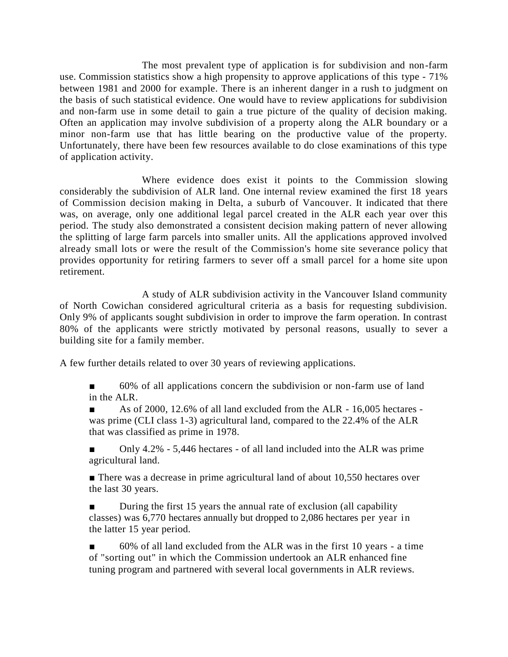The most prevalent type of application is for subdivision and non-farm use. Commission statistics show a high propensity to approve applications of this type - 71% between 1981 and 2000 for example. There is an inherent danger in a rush to judgment on the basis of such statistical evidence. One would have to review applications for subdivision and non-farm use in some detail to gain a true picture of the quality of decision making. Often an application may involve subdivision of a property along the ALR boundary or a minor non-farm use that has little bearing on the productive value of the property. Unfortunately, there have been few resources available to do close examinations of this type of application activity.

Where evidence does exist it points to the Commission slowing considerably the subdivision of ALR land. One internal review examined the first 18 years of Commission decision making in Delta, a suburb of Vancouver. It indicated that there was, on average, only one additional legal parcel created in the ALR each year over this period. The study also demonstrated a consistent decision making pattern of never allowing the splitting of large farm parcels into smaller units. All the applications approved involved already small lots or were the result of the Commission's home site severance policy that provides opportunity for retiring farmers to sever off a small parcel for a home site upon retirement.

A study of ALR subdivision activity in the Vancouver Island community of North Cowichan considered agricultural criteria as a basis for requesting subdivision. Only 9% of applicants sought subdivision in order to improve the farm operation. In contrast 80% of the applicants were strictly motivated by personal reasons, usually to sever a building site for a family member.

A few further details related to over 30 years of reviewing applications.

■ 60% of all applications concern the subdivision or non-farm use of land in the ALR.

As of 2000, 12.6% of all land excluded from the ALR - 16,005 hectares was prime (CLI class 1-3) agricultural land, compared to the 22.4% of the ALR that was classified as prime in 1978.

Only 4.2% - 5,446 hectares - of all land included into the ALR was prime agricultural land.

■ There was a decrease in prime agricultural land of about 10,550 hectares over the last 30 years.

■ During the first 15 years the annual rate of exclusion (all capability classes) was 6,770 hectares annually but dropped to 2,086 hectares per year in the latter 15 year period.

60% of all land excluded from the ALR was in the first 10 years - a time of "sorting out" in which the Commission undertook an ALR enhanced fine tuning program and partnered with several local governments in ALR reviews.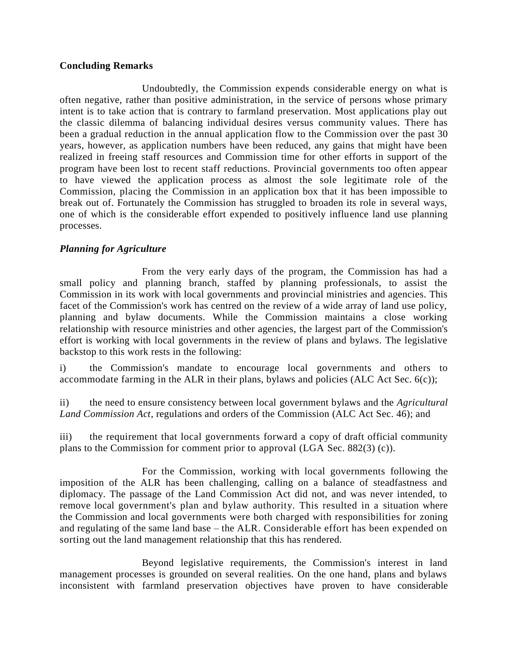### **Concluding Remarks**

Undoubtedly, the Commission expends considerable energy on what is often negative, rather than positive administration, in the service of persons whose primary intent is to take action that is contrary to farmland preservation. Most applications play out the classic dilemma of balancing individual desires versus community values. There has been a gradual reduction in the annual application flow to the Commission over the past 30 years, however, as application numbers have been reduced, any gains that might have been realized in freeing staff resources and Commission time for other efforts in support of the program have been lost to recent staff reductions. Provincial governments too often appear to have viewed the application process as almost the sole legitimate role of the Commission, placing the Commission in an application box that it has been impossible to break out of. Fortunately the Commission has struggled to broaden its role in several ways, one of which is the considerable effort expended to positively influence land use planning processes.

### *Planning for Agriculture*

From the very early days of the program, the Commission has had a small policy and planning branch, staffed by planning professionals, to assist the Commission in its work with local governments and provincial ministries and agencies. This facet of the Commission's work has centred on the review of a wide array of land use policy, planning and bylaw documents. While the Commission maintains a close working relationship with resource ministries and other agencies, the largest part of the Commission's effort is working with local governments in the review of plans and bylaws. The legislative backstop to this work rests in the following:

i) the Commission's mandate to encourage local governments and others to accommodate farming in the ALR in their plans, bylaws and policies (ALC Act Sec.  $6(c)$ );

ii) the need to ensure consistency between local government bylaws and the *Agricultural Land Commission Act*, regulations and orders of the Commission (ALC Act Sec. 46); and

iii) the requirement that local governments forward a copy of draft official community plans to the Commission for comment prior to approval (LGA Sec. 882(3) (c)).

For the Commission, working with local governments following the imposition of the ALR has been challenging, calling on a balance of steadfastness and diplomacy. The passage of the Land Commission Act did not, and was never intended, to remove local government's plan and bylaw authority. This resulted in a situation where the Commission and local governments were both charged with responsibilities for zoning and regulating of the same land base – the ALR. Considerable effort has been expended on sorting out the land management relationship that this has rendered.

Beyond legislative requirements, the Commission's interest in land management processes is grounded on several realities. On the one hand, plans and bylaws inconsistent with farmland preservation objectives have proven to have considerable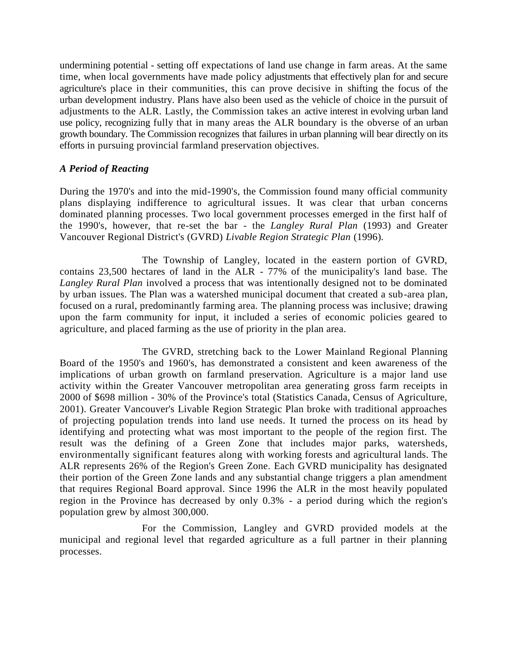undermining potential - setting off expectations of land use change in farm areas. At the same time, when local governments have made policy adjustments that effectively plan for and secure agriculture's place in their communities, this can prove decisive in shifting the focus of the urban development industry. Plans have also been used as the vehicle of choice in the pursuit of adjustments to the ALR. Lastly, the Commission takes an active interest in evolving urban land use policy, recognizing fully that in many areas the ALR boundary is the obverse of an urban growth boundary. The Commission recognizes that failures in urban planning will bear directly on its efforts in pursuing provincial farmland preservation objectives.

## *A Period of Reacting*

During the 1970's and into the mid-1990's, the Commission found many official community plans displaying indifference to agricultural issues. It was clear that urban concerns dominated planning processes. Two local government processes emerged in the first half of the 1990's, however, that re-set the bar - the *Langley Rural Plan* (1993) and Greater Vancouver Regional District's (GVRD) *Livable Region Strategic Plan* (1996).

The Township of Langley, located in the eastern portion of GVRD, contains 23,500 hectares of land in the ALR - 77% of the municipality's land base. The *Langley Rural Plan* involved a process that was intentionally designed not to be dominated by urban issues. The Plan was a watershed municipal document that created a sub-area plan, focused on a rural, predominantly farming area. The planning process was inclusive; drawing upon the farm community for input, it included a series of economic policies geared to agriculture, and placed farming as the use of priority in the plan area.

The GVRD, stretching back to the Lower Mainland Regional Planning Board of the 1950's and 1960's, has demonstrated a consistent and keen awareness of the implications of urban growth on farmland preservation. Agriculture is a major land use activity within the Greater Vancouver metropolitan area generating gross farm receipts in 2000 of \$698 million - 30% of the Province's total (Statistics Canada, Census of Agriculture, 2001). Greater Vancouver's Livable Region Strategic Plan broke with traditional approaches of projecting population trends into land use needs. It turned the process on its head by identifying and protecting what was most important to the people of the region first. The result was the defining of a Green Zone that includes major parks, watersheds, environmentally significant features along with working forests and agricultural lands. The ALR represents 26% of the Region's Green Zone. Each GVRD municipality has designated their portion of the Green Zone lands and any substantial change triggers a plan amendment that requires Regional Board approval. Since 1996 the ALR in the most heavily populated region in the Province has decreased by only 0.3% - a period during which the region's population grew by almost 300,000.

For the Commission, Langley and GVRD provided models at the municipal and regional level that regarded agriculture as a full partner in their planning processes.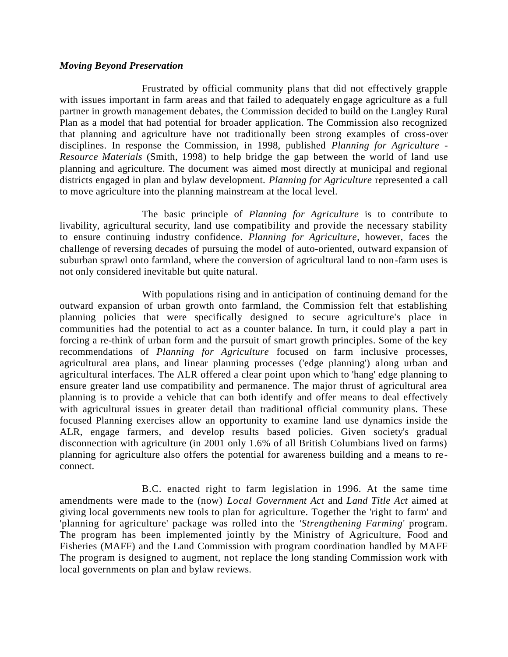#### *Moving Beyond Preservation*

Frustrated by official community plans that did not effectively grapple with issues important in farm areas and that failed to adequately engage agriculture as a full partner in growth management debates, the Commission decided to build on the Langley Rural Plan as a model that had potential for broader application. The Commission also recognized that planning and agriculture have not traditionally been strong examples of cross-over disciplines. In response the Commission, in 1998, published *Planning for Agriculture - Resource Materials* (Smith, 1998) to help bridge the gap between the world of land use planning and agriculture. The document was aimed most directly at municipal and regional districts engaged in plan and bylaw development. *Planning for Agriculture* represented a call to move agriculture into the planning mainstream at the local level.

The basic principle of *Planning for Agriculture* is to contribute to livability, agricultural security, land use compatibility and provide the necessary stability to ensure continuing industry confidence. *Planning for Agriculture*, however, faces the challenge of reversing decades of pursuing the model of auto-oriented, outward expansion of suburban sprawl onto farmland, where the conversion of agricultural land to non-farm uses is not only considered inevitable but quite natural.

With populations rising and in anticipation of continuing demand for the outward expansion of urban growth onto farmland, the Commission felt that establishing planning policies that were specifically designed to secure agriculture's place in communities had the potential to act as a counter balance. In turn, it could play a part in forcing a re-think of urban form and the pursuit of smart growth principles. Some of the key recommendations of *Planning for Agriculture* focused on farm inclusive processes, agricultural area plans, and linear planning processes ('edge planning') along urban and agricultural interfaces. The ALR offered a clear point upon which to 'hang' edge planning to ensure greater land use compatibility and permanence. The major thrust of agricultural area planning is to provide a vehicle that can both identify and offer means to deal effectively with agricultural issues in greater detail than traditional official community plans. These focused Planning exercises allow an opportunity to examine land use dynamics inside the ALR, engage farmers, and develop results based policies. Given society's gradual disconnection with agriculture (in 2001 only 1.6% of all British Columbians lived on farms) planning for agriculture also offers the potential for awareness building and a means to re connect.

B.C. enacted right to farm legislation in 1996. At the same time amendments were made to the (now) *Local Government Act* and *Land Title Act* aimed at giving local governments new tools to plan for agriculture. Together the 'right to farm' and 'planning for agriculture' package was rolled into the *'Strengthening Farming*' program. The program has been implemented jointly by the Ministry of Agriculture, Food and Fisheries (MAFF) and the Land Commission with program coordination handled by MAFF The program is designed to augment, not replace the long standing Commission work with local governments on plan and bylaw reviews.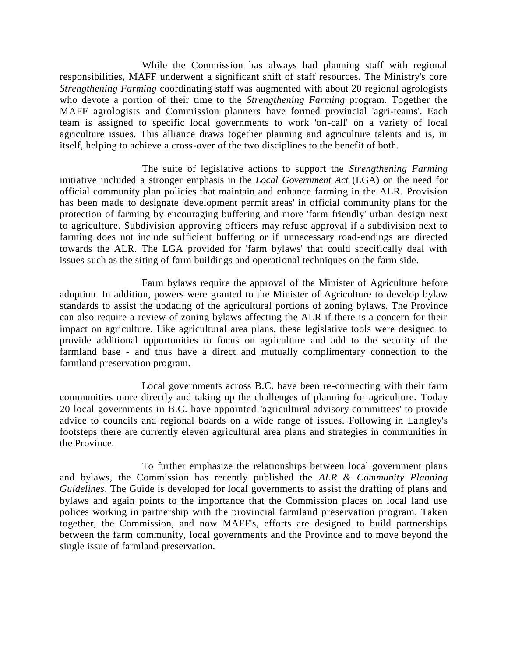While the Commission has always had planning staff with regional responsibilities, MAFF underwent a significant shift of staff resources. The Ministry's core *Strengthening Farming* coordinating staff was augmented with about 20 regional agrologists who devote a portion of their time to the *Strengthening Farming* program. Together the MAFF agrologists and Commission planners have formed provincial 'agri-teams'. Each team is assigned to specific local governments to work 'on-call' on a variety of local agriculture issues. This alliance draws together planning and agriculture talents and is, in itself, helping to achieve a cross-over of the two disciplines to the benefit of both.

The suite of legislative actions to support the *Strengthening Farming* initiative included a stronger emphasis in the *Local Government Act* (LGA) on the need for official community plan policies that maintain and enhance farming in the ALR. Provision has been made to designate 'development permit areas' in official community plans for the protection of farming by encouraging buffering and more 'farm friendly' urban design next to agriculture. Subdivision approving officers may refuse approval if a subdivision next to farming does not include sufficient buffering or if unnecessary road-endings are directed towards the ALR. The LGA provided for 'farm bylaws' that could specifically deal with issues such as the siting of farm buildings and operational techniques on the farm side.

Farm bylaws require the approval of the Minister of Agriculture before adoption. In addition, powers were granted to the Minister of Agriculture to develop bylaw standards to assist the updating of the agricultural portions of zoning bylaws. The Province can also require a review of zoning bylaws affecting the ALR if there is a concern for their impact on agriculture. Like agricultural area plans, these legislative tools were designed to provide additional opportunities to focus on agriculture and add to the security of the farmland base - and thus have a direct and mutually complimentary connection to the farmland preservation program.

Local governments across B.C. have been re-connecting with their farm communities more directly and taking up the challenges of planning for agriculture. Today 20 local governments in B.C. have appointed 'agricultural advisory committees' to provide advice to councils and regional boards on a wide range of issues. Following in Langley's footsteps there are currently eleven agricultural area plans and strategies in communities in the Province.

To further emphasize the relationships between local government plans and bylaws, the Commission has recently published the *ALR & Community Planning Guidelines*. The Guide is developed for local governments to assist the drafting of plans and bylaws and again points to the importance that the Commission places on local land use polices working in partnership with the provincial farmland preservation program. Taken together, the Commission, and now MAFF's, efforts are designed to build partnerships between the farm community, local governments and the Province and to move beyond the single issue of farmland preservation.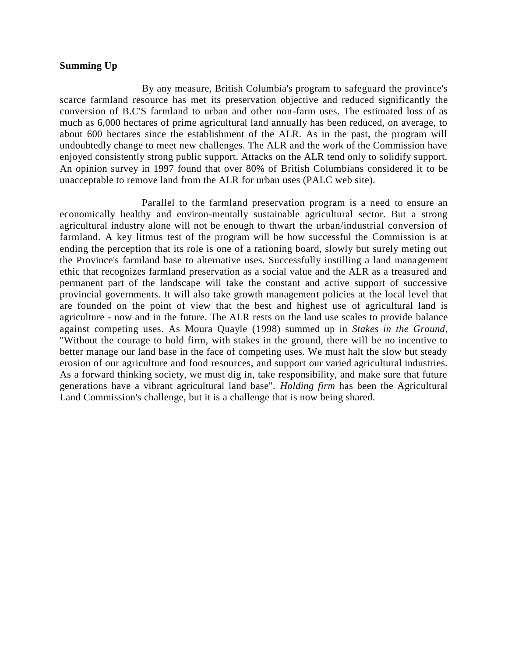#### **Summing Up**

By any measure, British Columbia's program to safeguard the province's scarce farmland resource has met its preservation objective and reduced significantly the conversion of B.C'S farmland to urban and other non-farm uses. The estimated loss of as much as 6,000 hectares of prime agricultural land annually has been reduced, on average, to about 600 hectares since the establishment of the ALR. As in the past, the program will undoubtedly change to meet new challenges. The ALR and the work of the Commission have enjoyed consistently strong public support. Attacks on the ALR tend only to solidify support. An opinion survey in 1997 found that over 80% of British Columbians considered it to be unacceptable to remove land from the ALR for urban uses (PALC web site).

Parallel to the farmland preservation program is a need to ensure an economically healthy and environ-mentally sustainable agricultural sector. But a strong agricultural industry alone will not be enough to thwart the urban/industrial conversion of farmland. A key litmus test of the program will be how successful the Commission is at ending the perception that its role is one of a rationing board, slowly but surely meting out the Province's farmland base to alternative uses. Successfully instilling a land management ethic that recognizes farmland preservation as a social value and the ALR as a treasured and permanent part of the landscape will take the constant and active support of successive provincial governments. It will also take growth management policies at the local level that are founded on the point of view that the best and highest use of agricultural land is agriculture - now and in the future. The ALR rests on the land use scales to provide balance against competing uses. As Moura Quayle (1998) summed up in *Stakes in the Ground*, "Without the courage to hold firm, with stakes in the ground, there will be no incentive to better manage our land base in the face of competing uses. We must halt the slow but steady erosion of our agriculture and food resources, and support our varied agricultural industries. As a forward thinking society, we must dig in, take responsibility, and make sure that future generations have a vibrant agricultural land base". *Holding firm* has been the Agricultural Land Commission's challenge, but it is a challenge that is now being shared.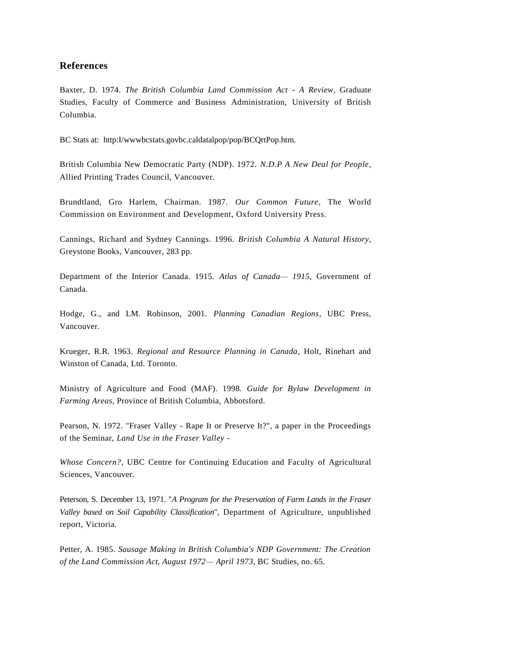#### **References**

Baxter, D. 1974. *The British Columbia Land Commission Act - A Review*, Graduate Studies, Faculty of Commerce and Business Administration, University of British Columbia.

BC Stats at: http:I/wwwbcstats.govbc.caldatalpop/pop/BCQrtPop.htm.

British Columbia New Democratic Party (NDP). 1972. *N.D.P A New Deal for People*, Allied Printing Trades Council, Vancouver.

Brundtland, Gro Harlem, Chairman. 1987. *Our Common Future*, The World Commission on Environment and Development, Oxford University Press.

Cannings, Richard and Sydney Cannings. 1996. *British Columbia A Natural History*, Greystone Books, Vancouver, 283 pp.

Department of the Interior Canada. 1915. *Atlas of Canada— 1915*, Government of Canada.

Hodge, G., and LM. Robinson, 2001. *Planning Canadian Regions*, UBC Press, Vancouver.

Krueger, R.R. 1963. *Regional and Resource Planning in Canada*, Holt, Rinehart and Winston of Canada, Ltd. Toronto.

Ministry of Agriculture and Food (MAF). 1998. *Guide for Bylaw Development in Farming Areas*, Province of British Columbia, Abbotsford.

Pearson, N. 1972. "Fraser Valley - Rape It or Preserve It?", a paper in the Proceedings of the Seminar, *Land Use in the Fraser Valley -*

*Whose Concern?*, UBC Centre for Continuing Education and Faculty of Agricultural Sciences, Vancouver.

Peterson, S. December 13, 1971. "*A Program for the Preservation of Farm Lands in the Fraser Valley based on Soil Capability Classification*", Department of Agriculture, unpublished report, Victoria.

Petter, A. 1985. *Sausage Making in British Columbia's NDP Government: The Creation of the Land Commission Act, August 1972— April 1973*, BC Studies, no. 65.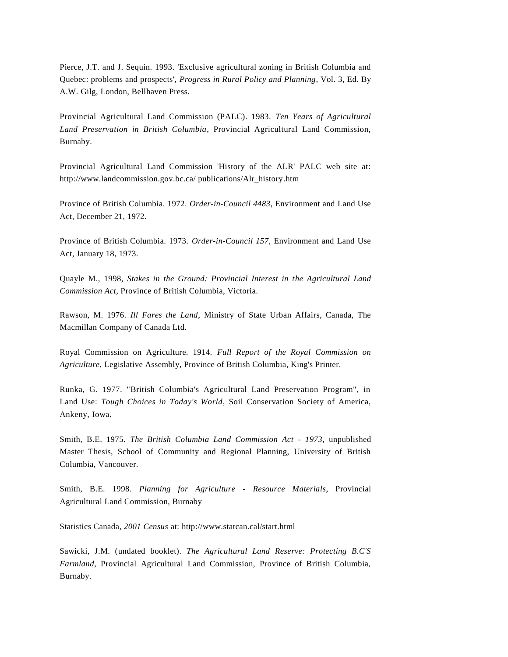Pierce, J.T. and J. Sequin. 1993. 'Exclusive agricultural zoning in British Columbia and Quebec: problems and prospects', *Progress in Rural Policy and Planning*, Vol. 3, Ed. By A.W. Gilg, London, Bellhaven Press.

Provincial Agricultural Land Commission (PALC). 1983. *Ten Years of Agricultural Land Preservation in British Columbia*, Provincial Agricultural Land Commission, Burnaby.

Provincial Agricultural Land Commission 'History of the ALR' PALC web site at: http://www.landcommission.gov.bc.ca/ publications/Alr\_history.htm

Province of British Columbia. 1972. *Order-in-Council 4483*, Environment and Land Use Act, December 21, 1972.

Province of British Columbia. 1973. *Order-in-Council 157*, Environment and Land Use Act, January 18, 1973.

Quayle M., 1998, *Stakes in the Ground: Provincial Interest in the Agricultural Land Commission Act*, Province of British Columbia, Victoria.

Rawson, M. 1976. *Ill Fares the Land*, Ministry of State Urban Affairs, Canada, The Macmillan Company of Canada Ltd.

Royal Commission on Agriculture. 1914. *Full Report of the Royal Commission on Agriculture*, Legislative Assembly, Province of British Columbia, King's Printer.

Runka, G. 1977. "British Columbia's Agricultural Land Preservation Program", in Land Use: *Tough Choices in Today's World*, Soil Conservation Society of America, Ankeny, Iowa.

Smith, B.E. 1975. *The British Columbia Land Commission Act - 1973*, unpublished Master Thesis, School of Community and Regional Planning, University of British Columbia, Vancouver.

Smith, B.E. 1998. *Planning for Agriculture - Resource Materials*, Provincial Agricultural Land Commission, Burnaby

Statistics Canada, *2001 Census* at:<http://www.statcan.cal/start.html>

Sawicki, J.M. (undated booklet). *The Agricultural Land Reserve: Protecting B.C'S Farmland*, Provincial Agricultural Land Commission, Province of British Columbia, Burnaby.